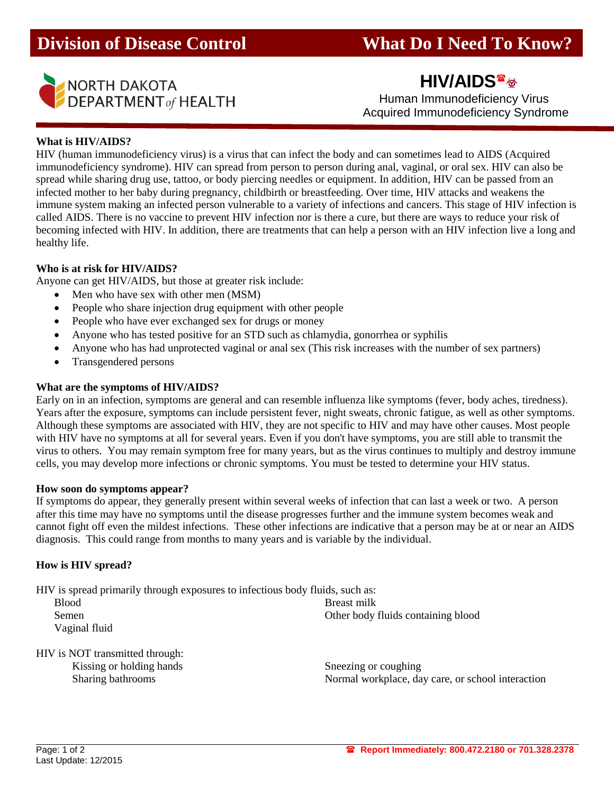

**HIV/AIDS**

Acquired Immunodeficiency Syndrome

# **What is HIV/AIDS?**

HIV (human immunodeficiency virus) is a virus that can infect the body and can sometimes lead to AIDS (Acquired immunodeficiency syndrome). HIV can spread from person to person during anal, vaginal, or oral sex. HIV can also be spread while sharing drug use, tattoo, or body piercing needles or equipment. In addition, HIV can be passed from an infected mother to her baby during pregnancy, childbirth or breastfeeding. Over time, HIV attacks and weakens the immune system making an infected person vulnerable to a variety of infections and cancers. This stage of HIV infection is called AIDS. There is no vaccine to prevent HIV infection nor is there a cure, but there are ways to reduce your risk of becoming infected with HIV. In addition, there are treatments that can help a person with an HIV infection live a long and healthy life.

### **Who is at risk for HIV/AIDS?**

Anyone can get HIV/AIDS, but those at greater risk include:

- Men who have sex with other men (MSM)
- People who share injection drug equipment with other people
- People who have ever exchanged sex for drugs or money
- Anyone who has tested positive for an STD such as chlamydia, gonorrhea or syphilis
- Anyone who has had unprotected vaginal or anal sex (This risk increases with the number of sex partners)
- Transgendered persons

### **What are the symptoms of HIV/AIDS?**

Early on in an infection, symptoms are general and can resemble influenza like symptoms (fever, body aches, tiredness). Years after the exposure, symptoms can include persistent fever, night sweats, chronic fatigue, as well as other symptoms. Although these symptoms are associated with HIV, they are not specific to HIV and may have other causes. Most people with HIV have no symptoms at all for several years. Even if you don't have symptoms, you are still able to transmit the virus to others. You may remain symptom free for many years, but as the virus continues to multiply and destroy immune cells, you may develop more infections or chronic symptoms. You must be tested to determine your HIV status.

### **How soon do symptoms appear?**

If symptoms do appear, they generally present within several weeks of infection that can last a week or two. A person after this time may have no symptoms until the disease progresses further and the immune system becomes weak and cannot fight off even the mildest infections. These other infections are indicative that a person may be at or near an AIDS diagnosis. This could range from months to many years and is variable by the individual.

### **How is HIV spread?**

HIV is spread primarily through exposures to infectious body fluids, such as:

| <b>Blood</b>  | Breast milk                        |
|---------------|------------------------------------|
| Semen         | Other body fluids containing blood |
| Vaginal fluid |                                    |

HIV is NOT transmitted through: Kissing or holding hands Sneezing or coughing

Sharing bathrooms Normal workplace, day care, or school interaction